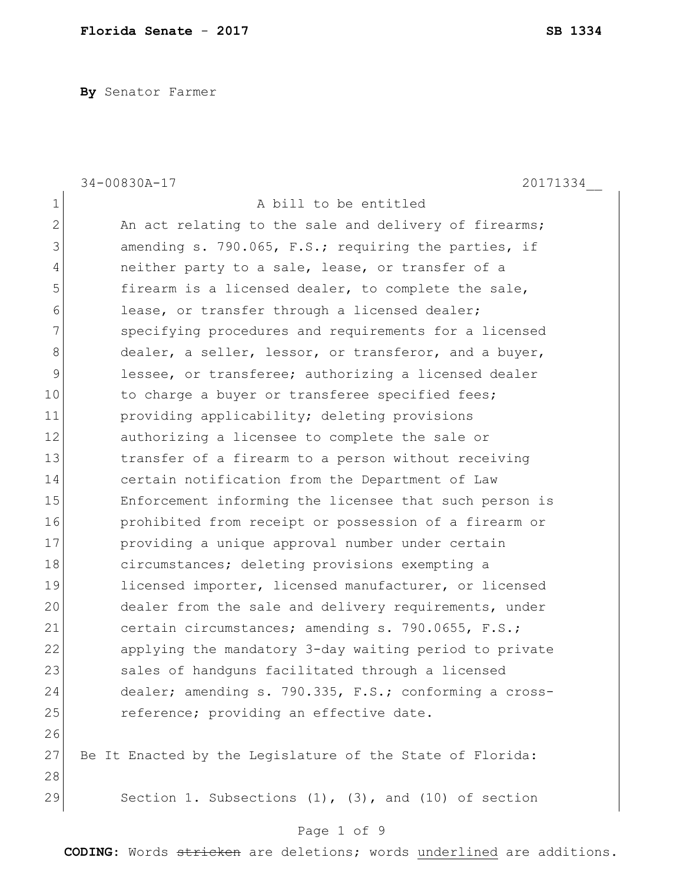**By** Senator Farmer

|                | 34-00830A-17<br>20171334                                     |
|----------------|--------------------------------------------------------------|
| $\mathbf 1$    | A bill to be entitled                                        |
| $\mathbf{2}$   | An act relating to the sale and delivery of firearms;        |
| 3              | amending s. 790.065, F.S.; requiring the parties, if         |
| $\overline{4}$ | neither party to a sale, lease, or transfer of a             |
| 5              | firearm is a licensed dealer, to complete the sale,          |
| 6              | lease, or transfer through a licensed dealer;                |
| 7              | specifying procedures and requirements for a licensed        |
| $8\,$          | dealer, a seller, lessor, or transferor, and a buyer,        |
| 9              | lessee, or transferee; authorizing a licensed dealer         |
| 10             | to charge a buyer or transferee specified fees;              |
| 11             | providing applicability; deleting provisions                 |
| 12             | authorizing a licensee to complete the sale or               |
| 13             | transfer of a firearm to a person without receiving          |
| 14             | certain notification from the Department of Law              |
| 15             | Enforcement informing the licensee that such person is       |
| 16             | prohibited from receipt or possession of a firearm or        |
| 17             | providing a unique approval number under certain             |
| 18             | circumstances; deleting provisions exempting a               |
| 19             | licensed importer, licensed manufacturer, or licensed        |
| 20             | dealer from the sale and delivery requirements, under        |
| 21             | certain circumstances; amending s. 790.0655, F.S.;           |
| 22             | applying the mandatory 3-day waiting period to private       |
| 23             | sales of handquns facilitated through a licensed             |
| 24             | dealer; amending s. 790.335, F.S.; conforming a cross-       |
| 25             | reference; providing an effective date.                      |
| 26             |                                                              |
| 27             | Be It Enacted by the Legislature of the State of Florida:    |
| 28             |                                                              |
| 29             | Section 1. Subsections $(1)$ , $(3)$ , and $(10)$ of section |
|                | Page 1 of 9                                                  |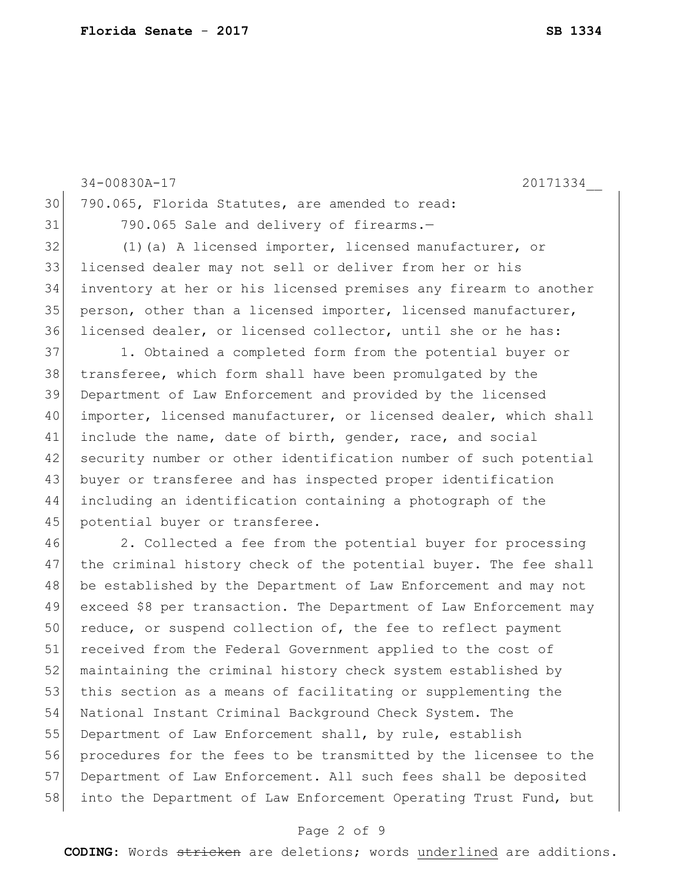| 30 | 790.065, Florida Statutes, are amended to read:                   |
|----|-------------------------------------------------------------------|
| 31 | 790.065 Sale and delivery of firearms.-                           |
| 32 | (1) (a) A licensed importer, licensed manufacturer, or            |
| 33 | licensed dealer may not sell or deliver from her or his           |
| 34 | inventory at her or his licensed premises any firearm to another  |
| 35 | person, other than a licensed importer, licensed manufacturer,    |
| 36 | licensed dealer, or licensed collector, until she or he has:      |
| 37 | 1. Obtained a completed form from the potential buyer or          |
| 38 | transferee, which form shall have been promulgated by the         |
| 39 | Department of Law Enforcement and provided by the licensed        |
| 40 | importer, licensed manufacturer, or licensed dealer, which shall  |
| 41 | include the name, date of birth, gender, race, and social         |
| 42 | security number or other identification number of such potential  |
| 43 | buyer or transferee and has inspected proper identification       |
| 44 | including an identification containing a photograph of the        |
| 45 | potential buyer or transferee.                                    |
| 46 | 2. Collected a fee from the potential buyer for processing        |
| 47 | the criminal history check of the potential buyer. The fee shall  |
| 48 | be established by the Department of Law Enforcement and may not   |
| 49 | exceed \$8 per transaction. The Department of Law Enforcement may |
| 50 | reduce, or suspend collection of, the fee to reflect payment      |
| 51 | received from the Federal Government applied to the cost of       |
| 52 | maintaining the criminal history check system established by      |
| 53 | this section as a means of facilitating or supplementing the      |
| 54 | National Instant Criminal Background Check System. The            |
| 55 | Department of Law Enforcement shall, by rule, establish           |
| 56 | procedures for the fees to be transmitted by the licensee to the  |
| 57 | Department of Law Enforcement. All such fees shall be deposited   |
| 58 | into the Department of Law Enforcement Operating Trust Fund, but  |

34-00830A-17 20171334\_\_

**CODING**: Words stricken are deletions; words underlined are additions.

Page 2 of 9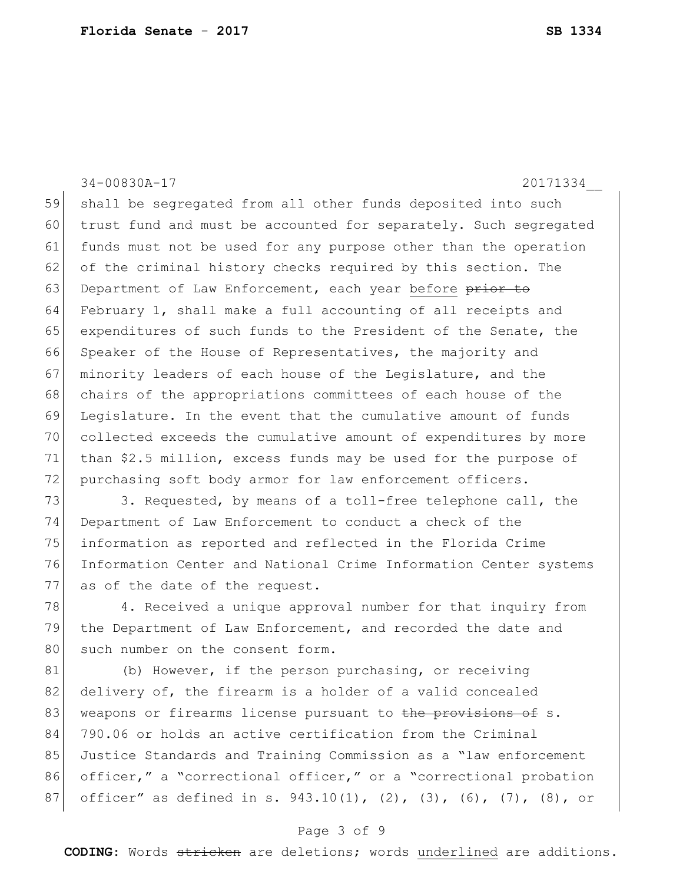34-00830A-17 20171334\_\_ 59 shall be segregated from all other funds deposited into such 60 trust fund and must be accounted for separately. Such segregated 61 funds must not be used for any purpose other than the operation 62 of the criminal history checks required by this section. The 63 Department of Law Enforcement, each year before prior to 64 February 1, shall make a full accounting of all receipts and 65 expenditures of such funds to the President of the Senate, the 66 Speaker of the House of Representatives, the majority and 67 minority leaders of each house of the Legislature, and the 68 chairs of the appropriations committees of each house of the 69 Legislature. In the event that the cumulative amount of funds 70 collected exceeds the cumulative amount of expenditures by more 71 than \$2.5 million, excess funds may be used for the purpose of 72 purchasing soft body armor for law enforcement officers. 73 3. Requested, by means of a toll-free telephone call, the

 Department of Law Enforcement to conduct a check of the information as reported and reflected in the Florida Crime Information Center and National Crime Information Center systems 77 as of the date of the request.

78 4. Received a unique approval number for that inquiry from 79 the Department of Law Enforcement, and recorded the date and 80 such number on the consent form.

81 (b) However, if the person purchasing, or receiving 82 delivery of, the firearm is a holder of a valid concealed 83 weapons or firearms license pursuant to the provisions of s. 84 790.06 or holds an active certification from the Criminal 85 Justice Standards and Training Commission as a "law enforcement" 86 officer," a "correctional officer," or a "correctional probation 87 officer" as defined in s. 943.10(1), (2), (3), (6), (7), (8), or

#### Page 3 of 9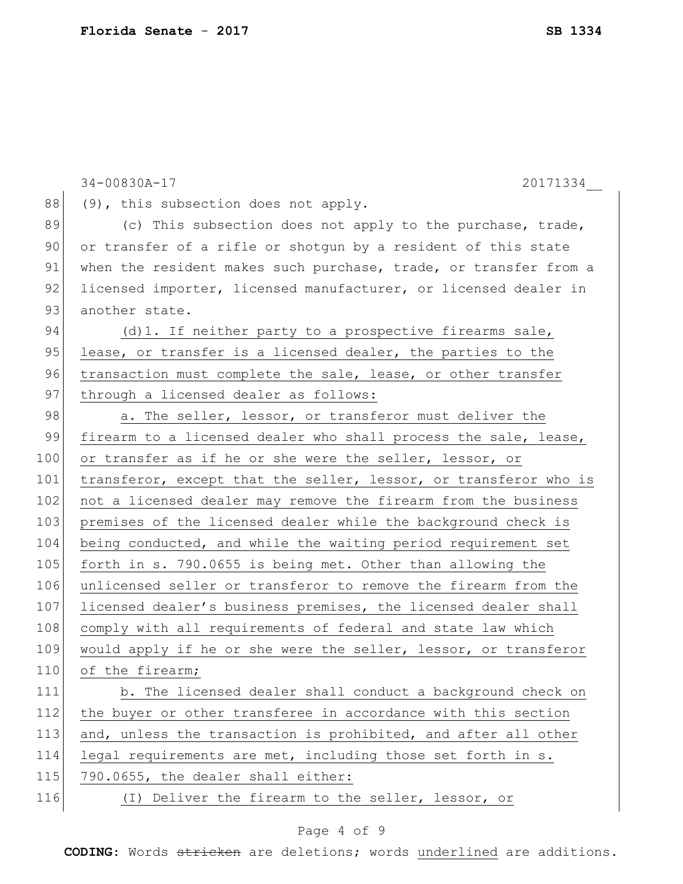|     | 34-00830A-17<br>20171334                                         |
|-----|------------------------------------------------------------------|
| 88  | (9), this subsection does not apply.                             |
| 89  | (c) This subsection does not apply to the purchase, trade,       |
| 90  | or transfer of a rifle or shotgun by a resident of this state    |
| 91  | when the resident makes such purchase, trade, or transfer from a |
| 92  | licensed importer, licensed manufacturer, or licensed dealer in  |
| 93  | another state.                                                   |
| 94  | (d) 1. If neither party to a prospective firearms sale,          |
| 95  | lease, or transfer is a licensed dealer, the parties to the      |
| 96  | transaction must complete the sale, lease, or other transfer     |
| 97  | through a licensed dealer as follows:                            |
| 98  | a. The seller, lessor, or transferor must deliver the            |
| 99  | firearm to a licensed dealer who shall process the sale, lease,  |
| 100 | or transfer as if he or she were the seller, lessor, or          |
| 101 | transferor, except that the seller, lessor, or transferor who is |
| 102 | not a licensed dealer may remove the firearm from the business   |
| 103 | premises of the licensed dealer while the background check is    |
| 104 | being conducted, and while the waiting period requirement set    |
| 105 | forth in s. 790.0655 is being met. Other than allowing the       |
| 106 | unlicensed seller or transferor to remove the firearm from the   |
| 107 | licensed dealer's business premises, the licensed dealer shall   |
| 108 | comply with all requirements of federal and state law which      |
| 109 | would apply if he or she were the seller, lessor, or transferor  |
| 110 | of the firearm;                                                  |
| 111 | b. The licensed dealer shall conduct a background check on       |
| 112 | the buyer or other transferee in accordance with this section    |
| 113 | and, unless the transaction is prohibited, and after all other   |
| 114 | legal requirements are met, including those set forth in s.      |
| 115 | 790.0655, the dealer shall either:                               |
| 116 | (I) Deliver the firearm to the seller, lessor, or                |
|     |                                                                  |

#### Page 4 of 9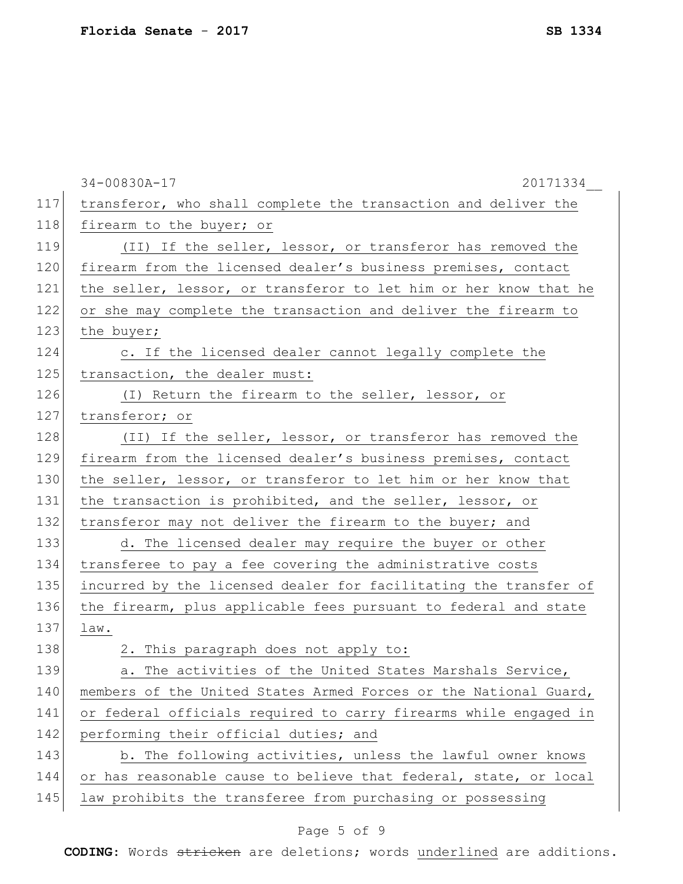|     | 34-00830A-17<br>20171334                                         |
|-----|------------------------------------------------------------------|
| 117 | transferor, who shall complete the transaction and deliver the   |
| 118 | firearm to the buyer; or                                         |
| 119 | (II) If the seller, lessor, or transferor has removed the        |
| 120 | firearm from the licensed dealer's business premises, contact    |
| 121 | the seller, lessor, or transferor to let him or her know that he |
| 122 | or she may complete the transaction and deliver the firearm to   |
| 123 | the buyer;                                                       |
| 124 | c. If the licensed dealer cannot legally complete the            |
| 125 | transaction, the dealer must:                                    |
| 126 | (I) Return the firearm to the seller, lessor, or                 |
| 127 | transferor; or                                                   |
| 128 | (II) If the seller, lessor, or transferor has removed the        |
| 129 | firearm from the licensed dealer's business premises, contact    |
| 130 | the seller, lessor, or transferor to let him or her know that    |
| 131 | the transaction is prohibited, and the seller, lessor, or        |
| 132 | transferor may not deliver the firearm to the buyer; and         |
| 133 | d. The licensed dealer may require the buyer or other            |
| 134 | transferee to pay a fee covering the administrative costs        |
| 135 | incurred by the licensed dealer for facilitating the transfer of |
| 136 | the firearm, plus applicable fees pursuant to federal and state  |
| 137 | law.                                                             |
| 138 | 2. This paragraph does not apply to:                             |
| 139 | The activities of the United States Marshals Service,<br>а.      |
| 140 | members of the United States Armed Forces or the National Guard, |
| 141 | or federal officials required to carry firearms while engaged in |
| 142 | performing their official duties; and                            |
| 143 | b. The following activities, unless the lawful owner knows       |
| 144 | or has reasonable cause to believe that federal, state, or local |
| 145 | law prohibits the transferee from purchasing or possessing       |

# Page 5 of 9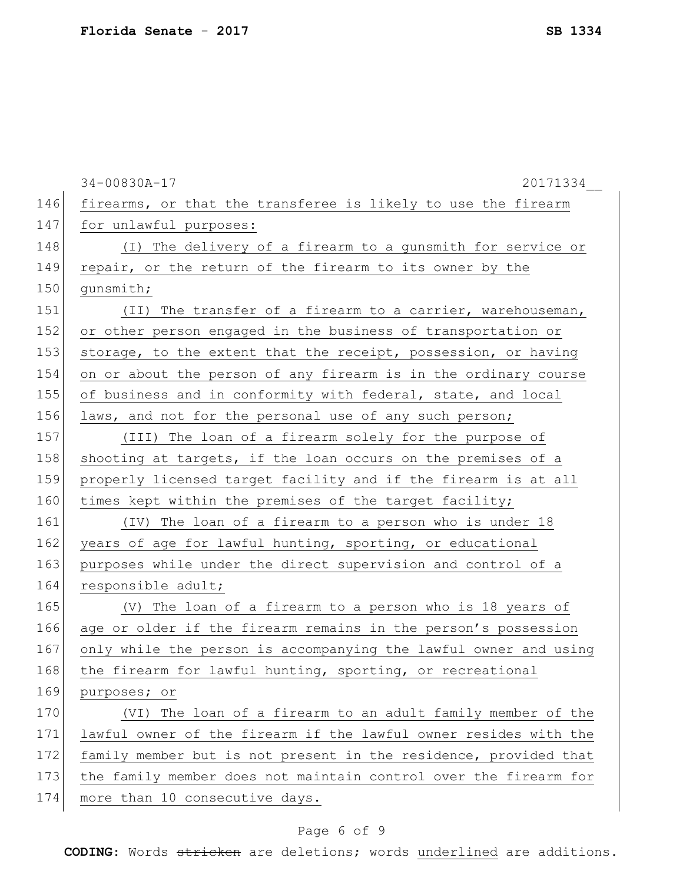|     | 34-00830A-17<br>20171334                                         |
|-----|------------------------------------------------------------------|
| 146 | firearms, or that the transferee is likely to use the firearm    |
| 147 | for unlawful purposes:                                           |
| 148 | (I) The delivery of a firearm to a gunsmith for service or       |
| 149 | repair, or the return of the firearm to its owner by the         |
| 150 | qunsmith;                                                        |
| 151 | (II) The transfer of a firearm to a carrier, warehouseman,       |
| 152 | or other person engaged in the business of transportation or     |
| 153 | storage, to the extent that the receipt, possession, or having   |
| 154 | on or about the person of any firearm is in the ordinary course  |
| 155 | of business and in conformity with federal, state, and local     |
| 156 | laws, and not for the personal use of any such person;           |
| 157 | (III) The loan of a firearm solely for the purpose of            |
| 158 | shooting at targets, if the loan occurs on the premises of a     |
| 159 | properly licensed target facility and if the firearm is at all   |
| 160 | times kept within the premises of the target facility;           |
| 161 | (IV) The loan of a firearm to a person who is under 18           |
| 162 | years of age for lawful hunting, sporting, or educational        |
| 163 | purposes while under the direct supervision and control of a     |
| 164 | responsible adult;                                               |
| 165 | (V) The loan of a firearm to a person who is 18 years of         |
| 166 | age or older if the firearm remains in the person's possession   |
| 167 | only while the person is accompanying the lawful owner and using |
| 168 | the firearm for lawful hunting, sporting, or recreational        |
| 169 | purposes; or                                                     |
| 170 | (VI) The loan of a firearm to an adult family member of the      |
| 171 | lawful owner of the firearm if the lawful owner resides with the |
| 172 | family member but is not present in the residence, provided that |
| 173 | the family member does not maintain control over the firearm for |
| 174 | more than 10 consecutive days.                                   |

# Page 6 of 9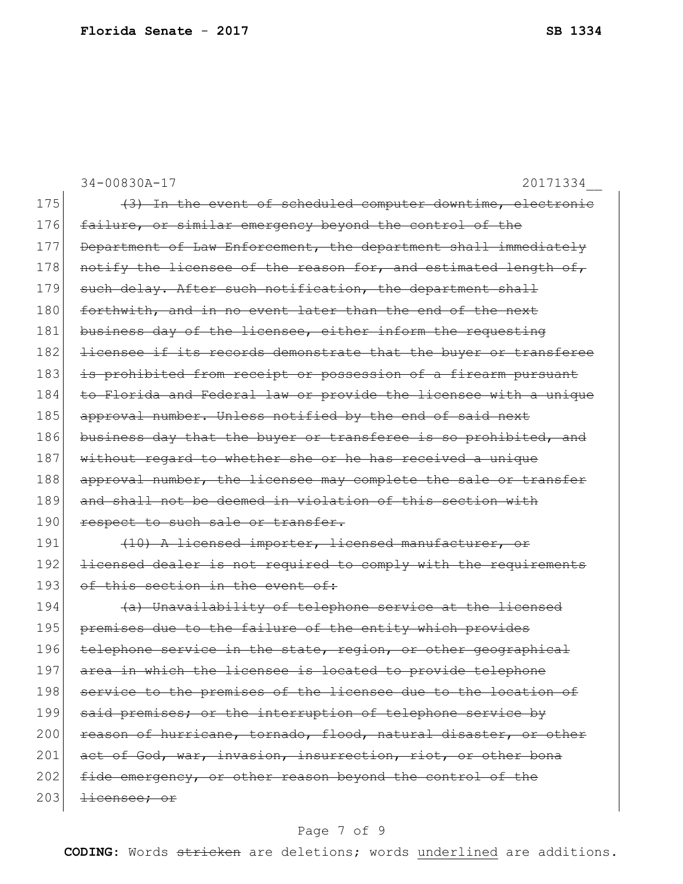|     | 34-00830A-17<br>20171334                                         |
|-----|------------------------------------------------------------------|
| 175 | (3) In the event of scheduled computer downtime, electronic      |
| 176 | failure, or similar emergency beyond the control of the          |
| 177 | Department of Law Enforcement, the department shall immediately  |
| 178 | notify the licensee of the reason for, and estimated length of,  |
| 179 | such delay. After such notification, the department shall        |
| 180 | forthwith, and in no event later than the end of the next        |
| 181 | business day of the licensee, either inform the requesting       |
| 182 | licensee if its records demonstrate that the buyer or transferee |
| 183 | is prohibited from receipt or possession of a firearm pursuant   |
| 184 | to Florida and Federal law or provide the licensee with a unique |
| 185 | approval number. Unless notified by the end of said next         |
| 186 | business day that the buyer or transferee is so prohibited, and  |
| 187 | without regard to whether she or he has received a unique        |
| 188 | approval number, the licensee may complete the sale or transfer  |
| 189 | and shall not be deemed in violation of this section with        |
| 190 | respect to such sale or transfer.                                |
| 191 | (10) A licensed importer, licensed manufacturer, or              |
| 192 | licensed dealer is not required to comply with the requirements  |
| 193 | of this section in the event of:                                 |
| 194 | (a) Unavailability of telephone service at the licensed          |
| 195 | premises due to the failure of the entity which provides         |
| 196 | telephone service in the state, region, or other geographical    |
| 197 | area in which the licensee is located to provide telephone       |
| 198 | service to the premises of the licensee due to the location of   |
| 199 | said premises; or the interruption of telephone service by       |
| 200 | reason of hurricane, tornado, flood, natural disaster, or other  |
| 201 | act of God, war, invasion, insurrection, riot, or other bona     |
| 202 | fide emergency, or other reason beyond the control of the        |
| 203 | <del>licensee; or</del>                                          |
|     |                                                                  |

# Page 7 of 9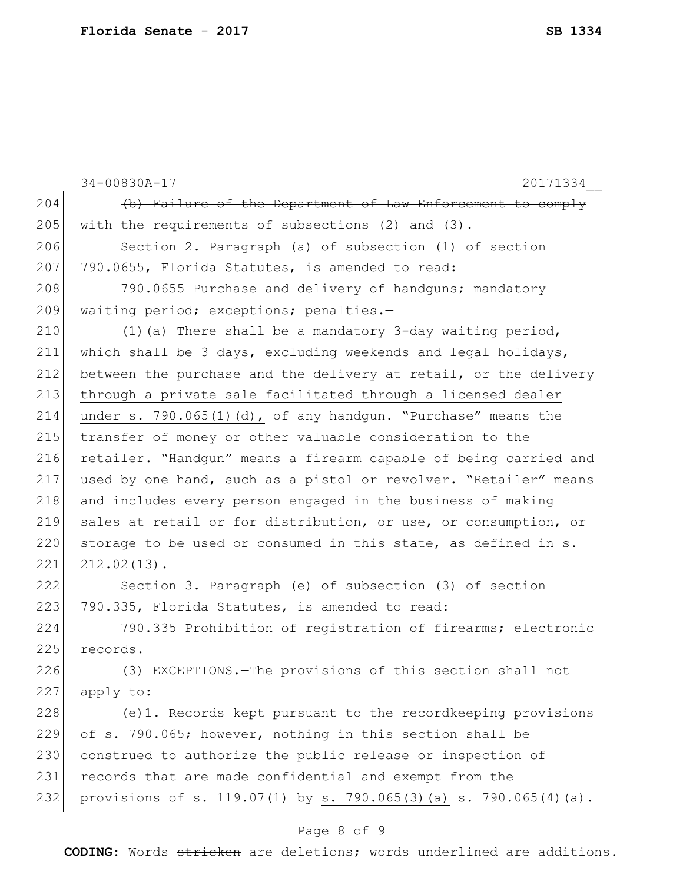|     | 34-00830A-17<br>20171334                                                      |
|-----|-------------------------------------------------------------------------------|
| 204 | (b) Failure of the Department of Law Enforcement to comply                    |
| 205 | with the requirements of subsections $(2)$ and $(3)$ .                        |
| 206 | Section 2. Paragraph (a) of subsection (1) of section                         |
| 207 | 790.0655, Florida Statutes, is amended to read:                               |
| 208 | 790.0655 Purchase and delivery of handguns; mandatory                         |
| 209 | waiting period; exceptions; penalties.-                                       |
| 210 | $(1)$ (a) There shall be a mandatory 3-day waiting period,                    |
| 211 | which shall be 3 days, excluding weekends and legal holidays,                 |
| 212 | between the purchase and the delivery at retail, or the delivery              |
| 213 | through a private sale facilitated through a licensed dealer                  |
| 214 | under s. 790.065(1)(d), of any handgun. "Purchase" means the                  |
| 215 | transfer of money or other valuable consideration to the                      |
| 216 | retailer. "Handgun" means a firearm capable of being carried and              |
| 217 | used by one hand, such as a pistol or revolver. "Retailer" means              |
| 218 | and includes every person engaged in the business of making                   |
| 219 | sales at retail or for distribution, or use, or consumption, or               |
| 220 | storage to be used or consumed in this state, as defined in s.                |
| 221 | $212.02(13)$ .                                                                |
| 222 | Section 3. Paragraph (e) of subsection (3) of section                         |
| 223 | 790.335, Florida Statutes, is amended to read:                                |
| 224 | 790.335 Prohibition of registration of firearms; electronic                   |
| 225 | $records. -$                                                                  |
| 226 | (3) EXCEPTIONS. - The provisions of this section shall not                    |
| 227 | apply to:                                                                     |
| 228 | (e)1. Records kept pursuant to the recordkeeping provisions                   |
| 229 | of s. 790.065; however, nothing in this section shall be                      |
| 230 | construed to authorize the public release or inspection of                    |
| 231 | records that are made confidential and exempt from the                        |
| 232 | provisions of s. 119.07(1) by s. 790.065(3)(a) $\frac{1}{3}$ . 790.065(4)(a). |
|     |                                                                               |

#### Page 8 of 9